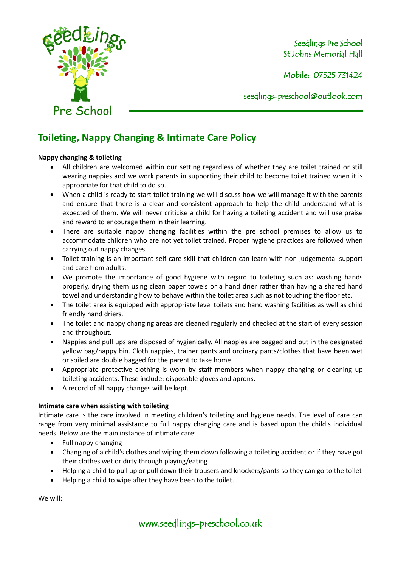

Seedlings Pre School St Johns Memorial Hall

Mobile: 07525 731424

seedlings[-preschool@outlook.com](mailto:preschool@outlook.com)

## **Toileting, Nappy Changing & Intimate Care Policy**

## **Nappy changing & toileting**

- All children are welcomed within our setting regardless of whether they are toilet trained or still wearing nappies and we work parents in supporting their child to become toilet trained when it is appropriate for that child to do so.
- When a child is ready to start toilet training we will discuss how we will manage it with the parents and ensure that there is a clear and consistent approach to help the child understand what is expected of them. We will never criticise a child for having a toileting accident and will use praise and reward to encourage them in their learning.
- There are suitable nappy changing facilities within the pre school premises to allow us to accommodate children who are not yet toilet trained. Proper hygiene practices are followed when carrying out nappy changes.
- Toilet training is an important self care skill that children can learn with non-judgemental support and care from adults.
- We promote the importance of good hygiene with regard to toileting such as: washing hands properly, drying them using clean paper towels or a hand drier rather than having a shared hand towel and understanding how to behave within the toilet area such as not touching the floor etc.
- The toilet area is equipped with appropriate level toilets and hand washing facilities as well as child friendly hand driers.
- The toilet and nappy changing areas are cleaned regularly and checked at the start of every session and throughout.
- Nappies and pull ups are disposed of hygienically. All nappies are bagged and put in the designated yellow bag/nappy bin. Cloth nappies, trainer pants and ordinary pants/clothes that have been wet or soiled are double bagged for the parent to take home.
- Appropriate protective clothing is worn by staff members when nappy changing or cleaning up toileting accidents. These include: disposable gloves and aprons.
- A record of all nappy changes will be kept.

## **Intimate care when assisting with toileting**

Intimate care is the care involved in meeting children's toileting and hygiene needs. The level of care can range from very minimal assistance to full nappy changing care and is based upon the child's individual needs. Below are the main instance of intimate care:

- Full nappy changing
- Changing of a child's clothes and wiping them down following a toileting accident or if they have got their clothes wet or dirty through playing/eating
- Helping a child to pull up or pull down their trousers and knockers/pants so they can go to the toilet
- Helping a child to wipe after they have been to the toilet.

We will:

www.seedlings-preschool.co.uk